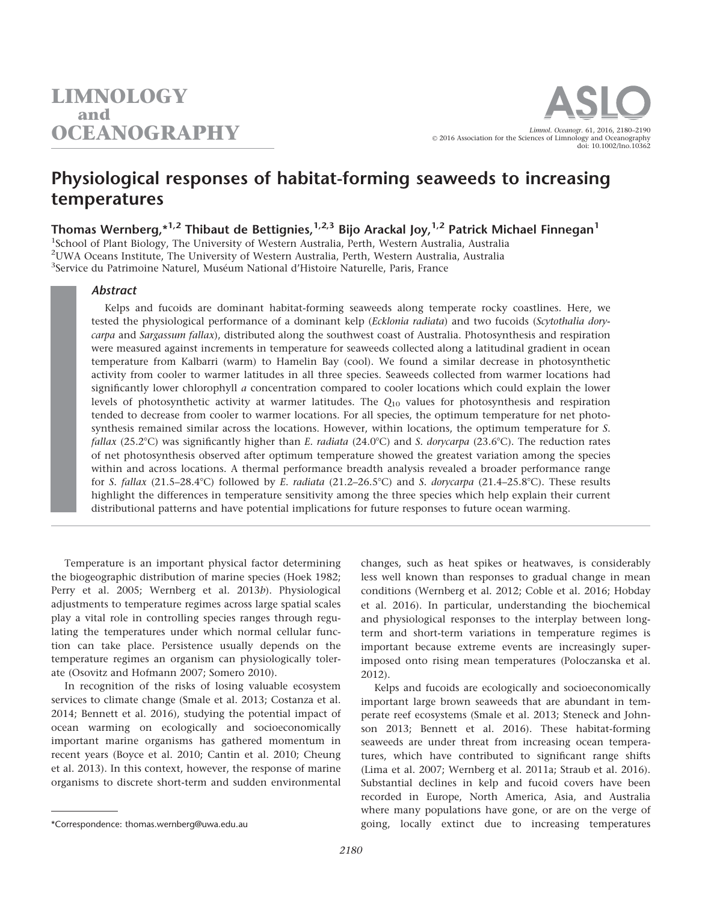# Physiological responses of habitat-forming seaweeds to increasing temperatures

Thomas Wernberg,  $*^{1,2}$  Thibaut de Bettignies,  $^{1,2,3}$  Bijo Arackal Joy,  $^{1,2}$  Patrick Michael Finnegan<sup>1</sup>

<sup>1</sup>School of Plant Biology, The University of Western Australia, Perth, Western Australia, Australia 2 UWA Oceans Institute, The University of Western Australia, Perth, Western Australia, Australia <sup>3</sup>Service du Patrimoine Naturel, Muséum National d'Histoire Naturelle, Paris, France

#### Abstract

Kelps and fucoids are dominant habitat-forming seaweeds along temperate rocky coastlines. Here, we tested the physiological performance of a dominant kelp (Ecklonia radiata) and two fucoids (Scytothalia dorycarpa and Sargassum fallax), distributed along the southwest coast of Australia. Photosynthesis and respiration were measured against increments in temperature for seaweeds collected along a latitudinal gradient in ocean temperature from Kalbarri (warm) to Hamelin Bay (cool). We found a similar decrease in photosynthetic activity from cooler to warmer latitudes in all three species. Seaweeds collected from warmer locations had significantly lower chlorophyll  $a$  concentration compared to cooler locations which could explain the lower levels of photosynthetic activity at warmer latitudes. The  $Q_{10}$  values for photosynthesis and respiration tended to decrease from cooler to warmer locations. For all species, the optimum temperature for net photosynthesis remained similar across the locations. However, within locations, the optimum temperature for S. fallax (25.2°C) was significantly higher than E. radiata (24.0°C) and S. dorycarpa (23.6°C). The reduction rates of net photosynthesis observed after optimum temperature showed the greatest variation among the species within and across locations. A thermal performance breadth analysis revealed a broader performance range for S. fallax  $(21.5-28.4^{\circ}\text{C})$  followed by E. radiata  $(21.2-26.5^{\circ}\text{C})$  and S. dorycarpa  $(21.4-25.8^{\circ}\text{C})$ . These results highlight the differences in temperature sensitivity among the three species which help explain their current distributional patterns and have potential implications for future responses to future ocean warming.

Temperature is an important physical factor determining the biogeographic distribution of marine species (Hoek 1982; Perry et al. 2005; Wernberg et al. 2013b). Physiological adjustments to temperature regimes across large spatial scales play a vital role in controlling species ranges through regulating the temperatures under which normal cellular function can take place. Persistence usually depends on the temperature regimes an organism can physiologically tolerate (Osovitz and Hofmann 2007; Somero 2010).

In recognition of the risks of losing valuable ecosystem services to climate change (Smale et al. 2013; Costanza et al. 2014; Bennett et al. 2016), studying the potential impact of ocean warming on ecologically and socioeconomically important marine organisms has gathered momentum in recent years (Boyce et al. 2010; Cantin et al. 2010; Cheung et al. 2013). In this context, however, the response of marine organisms to discrete short-term and sudden environmental

Kelps and fucoids are ecologically and socioeconomically important large brown seaweeds that are abundant in temperate reef ecosystems (Smale et al. 2013; Steneck and Johnson 2013; Bennett et al. 2016). These habitat-forming seaweeds are under threat from increasing ocean temperatures, which have contributed to significant range shifts (Lima et al. 2007; Wernberg et al. 2011a; Straub et al. 2016). Substantial declines in kelp and fucoid covers have been recorded in Europe, North America, Asia, and Australia where many populations have gone, or are on the verge of \*Correspondence: thomas.wernberg@uwa.edu.au going, locally extinct due to increasing temperatures

changes, such as heat spikes or heatwaves, is considerably less well known than responses to gradual change in mean conditions (Wernberg et al. 2012; Coble et al. 2016; Hobday et al. 2016). In particular, understanding the biochemical and physiological responses to the interplay between longterm and short-term variations in temperature regimes is important because extreme events are increasingly superimposed onto rising mean temperatures (Poloczanska et al. 2012).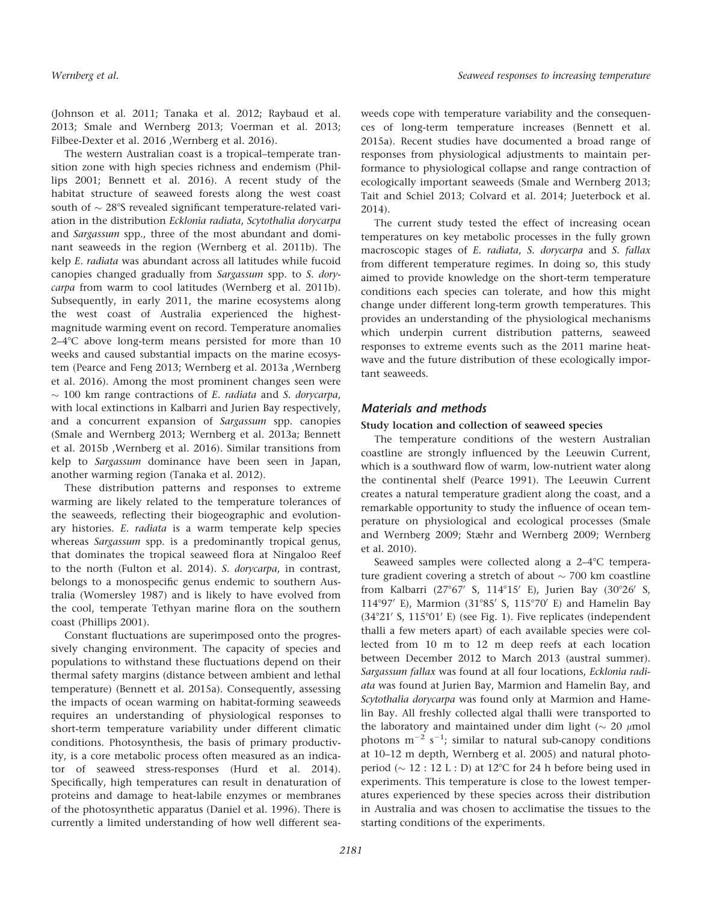(Johnson et al. 2011; Tanaka et al. 2012; Raybaud et al. 2013; Smale and Wernberg 2013; Voerman et al. 2013; Filbee-Dexter et al. 2016 ,Wernberg et al. 2016).

The western Australian coast is a tropical–temperate transition zone with high species richness and endemism (Phillips 2001; Bennett et al. 2016). A recent study of the habitat structure of seaweed forests along the west coast south of  $\sim$  28°S revealed significant temperature-related variation in the distribution Ecklonia radiata, Scytothalia dorycarpa and Sargassum spp., three of the most abundant and dominant seaweeds in the region (Wernberg et al. 2011b). The kelp E. radiata was abundant across all latitudes while fucoid canopies changed gradually from Sargassum spp. to S. dorycarpa from warm to cool latitudes (Wernberg et al. 2011b). Subsequently, in early 2011, the marine ecosystems along the west coast of Australia experienced the highestmagnitude warming event on record. Temperature anomalies  $2-4$ °C above long-term means persisted for more than 10 weeks and caused substantial impacts on the marine ecosystem (Pearce and Feng 2013; Wernberg et al. 2013a ,Wernberg et al. 2016). Among the most prominent changes seen were  $\sim$  100 km range contractions of *E. radiata* and *S. dorycarpa*, with local extinctions in Kalbarri and Jurien Bay respectively, and a concurrent expansion of Sargassum spp. canopies (Smale and Wernberg 2013; Wernberg et al. 2013a; Bennett et al. 2015b ,Wernberg et al. 2016). Similar transitions from kelp to Sargassum dominance have been seen in Japan, another warming region (Tanaka et al. 2012).

These distribution patterns and responses to extreme warming are likely related to the temperature tolerances of the seaweeds, reflecting their biogeographic and evolutionary histories. E. radiata is a warm temperate kelp species whereas Sargassum spp. is a predominantly tropical genus, that dominates the tropical seaweed flora at Ningaloo Reef to the north (Fulton et al. 2014). S. dorycarpa, in contrast, belongs to a monospecific genus endemic to southern Australia (Womersley 1987) and is likely to have evolved from the cool, temperate Tethyan marine flora on the southern coast (Phillips 2001).

Constant fluctuations are superimposed onto the progressively changing environment. The capacity of species and populations to withstand these fluctuations depend on their thermal safety margins (distance between ambient and lethal temperature) (Bennett et al. 2015a). Consequently, assessing the impacts of ocean warming on habitat-forming seaweeds requires an understanding of physiological responses to short-term temperature variability under different climatic conditions. Photosynthesis, the basis of primary productivity, is a core metabolic process often measured as an indicator of seaweed stress-responses (Hurd et al. 2014). Specifically, high temperatures can result in denaturation of proteins and damage to heat-labile enzymes or membranes of the photosynthetic apparatus (Daniel et al. 1996). There is currently a limited understanding of how well different seaweeds cope with temperature variability and the consequences of long-term temperature increases (Bennett et al. 2015a). Recent studies have documented a broad range of responses from physiological adjustments to maintain performance to physiological collapse and range contraction of ecologically important seaweeds (Smale and Wernberg 2013; Tait and Schiel 2013; Colvard et al. 2014; Jueterbock et al. 2014).

The current study tested the effect of increasing ocean temperatures on key metabolic processes in the fully grown macroscopic stages of E. radiata, S. dorycarpa and S. fallax from different temperature regimes. In doing so, this study aimed to provide knowledge on the short-term temperature conditions each species can tolerate, and how this might change under different long-term growth temperatures. This provides an understanding of the physiological mechanisms which underpin current distribution patterns, seaweed responses to extreme events such as the 2011 marine heatwave and the future distribution of these ecologically important seaweeds.

# Materials and methods

# Study location and collection of seaweed species

The temperature conditions of the western Australian coastline are strongly influenced by the Leeuwin Current, which is a southward flow of warm, low-nutrient water along the continental shelf (Pearce 1991). The Leeuwin Current creates a natural temperature gradient along the coast, and a remarkable opportunity to study the influence of ocean temperature on physiological and ecological processes (Smale and Wernberg 2009; Stæhr and Wernberg 2009; Wernberg et al. 2010).

Seaweed samples were collected along a  $2-4$ °C temperature gradient covering a stretch of about  $\sim$  700 km coastline from Kalbarri (27°67' S, 114°15' E), Jurien Bay (30°26' S, 114°97′ E), Marmion (31°85′ S, 115°70′ E) and Hamelin Bay  $(34°21' S, 115°01' E)$  (see Fig. 1). Five replicates (independent thalli a few meters apart) of each available species were collected from 10 m to 12 m deep reefs at each location between December 2012 to March 2013 (austral summer). Sargassum fallax was found at all four locations, Ecklonia radiata was found at Jurien Bay, Marmion and Hamelin Bay, and Scytothalia dorycarpa was found only at Marmion and Hamelin Bay. All freshly collected algal thalli were transported to the laboratory and maintained under dim light ( $\sim 20 \mu$ mol photons  $m^{-2}$  s<sup>-1</sup>; similar to natural sub-canopy conditions at 10–12 m depth, Wernberg et al. 2005) and natural photoperiod ( $\sim 12 : 12$  L : D) at 12°C for 24 h before being used in experiments. This temperature is close to the lowest temperatures experienced by these species across their distribution in Australia and was chosen to acclimatise the tissues to the starting conditions of the experiments.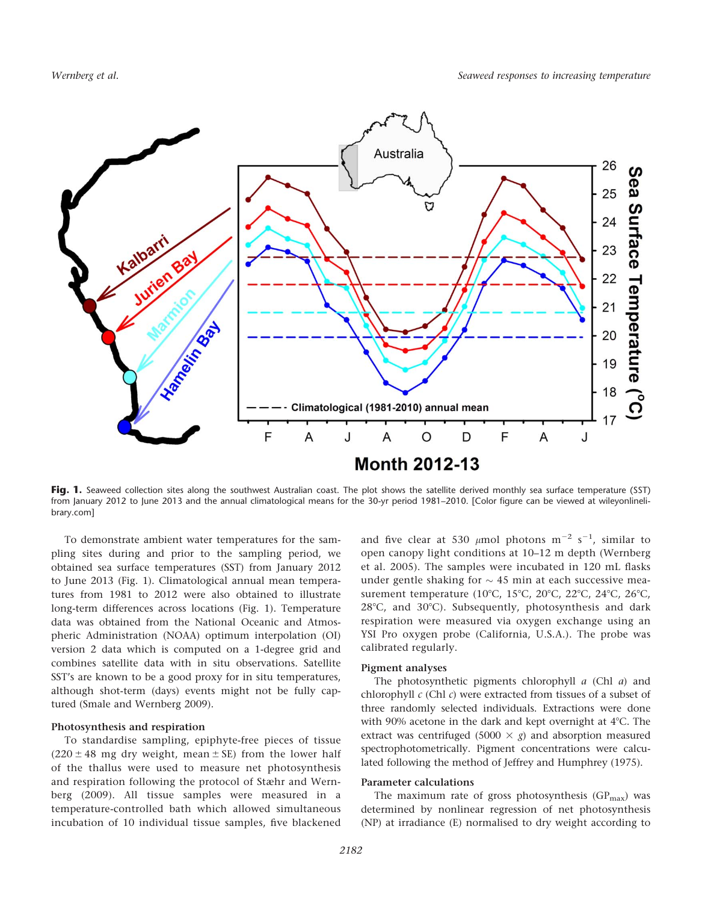

Fig. 1. Seaweed collection sites along the southwest Australian coast. The plot shows the satellite derived monthly sea surface temperature (SST) from January 2012 to June 2013 and the annual climatological means for the 30-yr period 1981–2010. [Color figure can be viewed at [wileyonlineli](http://wileyonlinelibrary.com)[brary.com](http://wileyonlinelibrary.com)]

To demonstrate ambient water temperatures for the sampling sites during and prior to the sampling period, we obtained sea surface temperatures (SST) from January 2012 to June 2013 (Fig. 1). Climatological annual mean temperatures from 1981 to 2012 were also obtained to illustrate long-term differences across locations (Fig. 1). Temperature data was obtained from the National Oceanic and Atmospheric Administration (NOAA) optimum interpolation (OI) version 2 data which is computed on a 1-degree grid and combines satellite data with in situ observations. Satellite SST's are known to be a good proxy for in situ temperatures, although shot-term (days) events might not be fully captured (Smale and Wernberg 2009).

#### Photosynthesis and respiration

To standardise sampling, epiphyte-free pieces of tissue  $(220 \pm 48 \text{ mg dry weight}, \text{mean} \pm \text{SE})$  from the lower half of the thallus were used to measure net photosynthesis and respiration following the protocol of Stæhr and Wernberg (2009). All tissue samples were measured in a temperature-controlled bath which allowed simultaneous incubation of 10 individual tissue samples, five blackened

and five clear at 530  $\mu$ mol photons m<sup>-2</sup> s<sup>-1</sup>, similar to open canopy light conditions at 10–12 m depth (Wernberg et al. 2005). The samples were incubated in 120 mL flasks under gentle shaking for  $\sim$  45 min at each successive measurement temperature (10°C, 15°C, 20°C, 22°C, 24°C, 26°C,  $28^{\circ}$ C, and  $30^{\circ}$ C). Subsequently, photosynthesis and dark respiration were measured via oxygen exchange using an YSI Pro oxygen probe (California, U.S.A.). The probe was calibrated regularly.

#### Pigment analyses

The photosynthetic pigments chlorophyll  $a$  (Chl  $a$ ) and chlorophyll  $c$  (Chl  $c$ ) were extracted from tissues of a subset of three randomly selected individuals. Extractions were done with 90% acetone in the dark and kept overnight at  $4^{\circ}$ C. The extract was centrifuged (5000  $\times$  g) and absorption measured spectrophotometrically. Pigment concentrations were calculated following the method of Jeffrey and Humphrey (1975).

#### Parameter calculations

The maximum rate of gross photosynthesis  $(GP_{max})$  was determined by nonlinear regression of net photosynthesis (NP) at irradiance (E) normalised to dry weight according to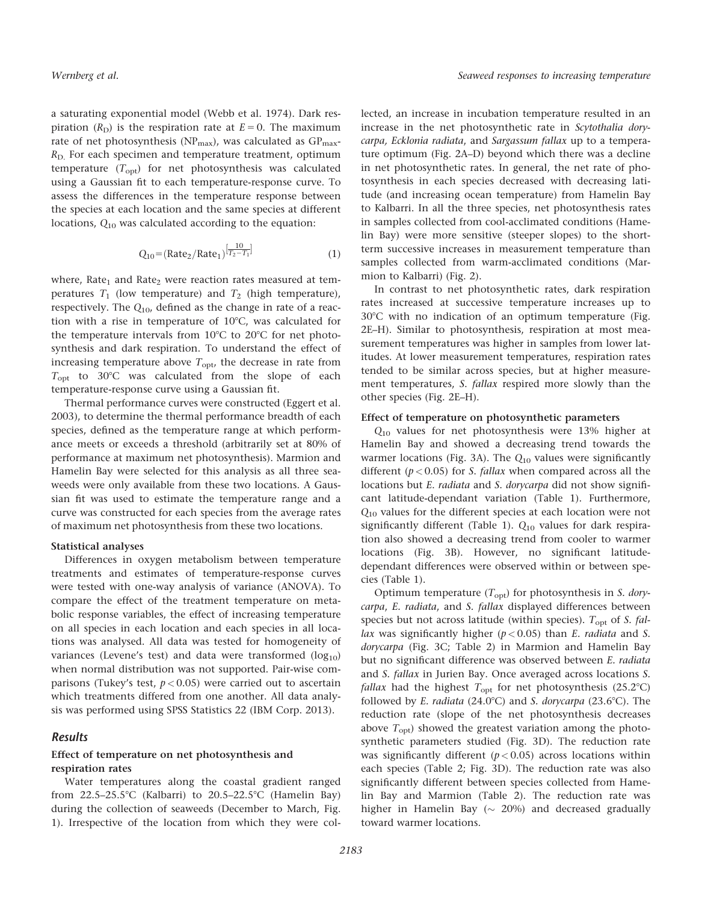a saturating exponential model (Webb et al. 1974). Dark respiration ( $R_D$ ) is the respiration rate at  $E = 0$ . The maximum rate of net photosynthesis (NP<sub>max</sub>), was calculated as  $GP_{max}$ - $R_{\text{D}}$ . For each specimen and temperature treatment, optimum temperature  $(T_{\text{opt}})$  for net photosynthesis was calculated using a Gaussian fit to each temperature-response curve. To assess the differences in the temperature response between the species at each location and the same species at different locations,  $Q_{10}$  was calculated according to the equation:

$$
Q_{10} = (Rate_2/Rate_1)^{\left[\frac{10}{T_2 - T_1}\right]}
$$
 (1)

where, Rate<sub>1</sub> and Rate<sub>2</sub> were reaction rates measured at temperatures  $T_1$  (low temperature) and  $T_2$  (high temperature), respectively. The  $Q_{10}$ , defined as the change in rate of a reaction with a rise in temperature of  $10^{\circ}$ C, was calculated for the temperature intervals from  $10^{\circ}$ C to  $20^{\circ}$ C for net photosynthesis and dark respiration. To understand the effect of increasing temperature above  $T_{\text{opt}}$ , the decrease in rate from  $T_{\text{opt}}$  to 30°C was calculated from the slope of each temperature-response curve using a Gaussian fit.

Thermal performance curves were constructed (Eggert et al. 2003), to determine the thermal performance breadth of each species, defined as the temperature range at which performance meets or exceeds a threshold (arbitrarily set at 80% of performance at maximum net photosynthesis). Marmion and Hamelin Bay were selected for this analysis as all three seaweeds were only available from these two locations. A Gaussian fit was used to estimate the temperature range and a curve was constructed for each species from the average rates of maximum net photosynthesis from these two locations.

### Statistical analyses

Differences in oxygen metabolism between temperature treatments and estimates of temperature-response curves were tested with one-way analysis of variance (ANOVA). To compare the effect of the treatment temperature on metabolic response variables, the effect of increasing temperature on all species in each location and each species in all locations was analysed. All data was tested for homogeneity of variances (Levene's test) and data were transformed  $(log_{10})$ when normal distribution was not supported. Pair-wise comparisons (Tukey's test,  $p < 0.05$ ) were carried out to ascertain which treatments differed from one another. All data analysis was performed using SPSS Statistics 22 (IBM Corp. 2013).

#### Results

#### Effect of temperature on net photosynthesis and respiration rates

Water temperatures along the coastal gradient ranged from  $22.5-25.5^{\circ}$ C (Kalbarri) to  $20.5-22.5^{\circ}$ C (Hamelin Bay) during the collection of seaweeds (December to March, Fig. 1). Irrespective of the location from which they were collected, an increase in incubation temperature resulted in an increase in the net photosynthetic rate in Scytothalia dorycarpa, Ecklonia radiata, and Sargassum fallax up to a temperature optimum (Fig. 2A–D) beyond which there was a decline in net photosynthetic rates. In general, the net rate of photosynthesis in each species decreased with decreasing latitude (and increasing ocean temperature) from Hamelin Bay to Kalbarri. In all the three species, net photosynthesis rates in samples collected from cool-acclimated conditions (Hamelin Bay) were more sensitive (steeper slopes) to the shortterm successive increases in measurement temperature than samples collected from warm-acclimated conditions (Marmion to Kalbarri) (Fig. 2).

In contrast to net photosynthetic rates, dark respiration rates increased at successive temperature increases up to 30°C with no indication of an optimum temperature (Fig. 2E–H). Similar to photosynthesis, respiration at most measurement temperatures was higher in samples from lower latitudes. At lower measurement temperatures, respiration rates tended to be similar across species, but at higher measurement temperatures, S. fallax respired more slowly than the other species (Fig. 2E–H).

#### Effect of temperature on photosynthetic parameters

Q<sup>10</sup> values for net photosynthesis were 13% higher at Hamelin Bay and showed a decreasing trend towards the warmer locations (Fig. 3A). The  $Q_{10}$  values were significantly different ( $p < 0.05$ ) for *S. fallax* when compared across all the locations but *E. radiata* and *S. dorycarpa* did not show significant latitude-dependant variation (Table 1). Furthermore, Q<sup>10</sup> values for the different species at each location were not significantly different (Table 1).  $Q_{10}$  values for dark respiration also showed a decreasing trend from cooler to warmer locations (Fig. 3B). However, no significant latitudedependant differences were observed within or between species (Table 1).

Optimum temperature  $(T_{\text{opt}})$  for photosynthesis in S. dorycarpa, E. radiata, and S. fallax displayed differences between species but not across latitude (within species).  $T_{\text{opt}}$  of S. fallax was significantly higher ( $p < 0.05$ ) than E. radiata and S. dorycarpa (Fig. 3C; Table 2) in Marmion and Hamelin Bay but no significant difference was observed between E. radiata and S. fallax in Jurien Bay. Once averaged across locations S. *fallax* had the highest  $T_{opt}$  for net photosynthesis (25.2°C) followed by E. radiata (24.0°C) and S. dorycarpa (23.6°C). The reduction rate (slope of the net photosynthesis decreases above  $T_{\text{opt}}$ ) showed the greatest variation among the photosynthetic parameters studied (Fig. 3D). The reduction rate was significantly different  $(p < 0.05)$  across locations within each species (Table 2; Fig. 3D). The reduction rate was also significantly different between species collected from Hamelin Bay and Marmion (Table 2). The reduction rate was higher in Hamelin Bay  $(\sim 20\%)$  and decreased gradually toward warmer locations.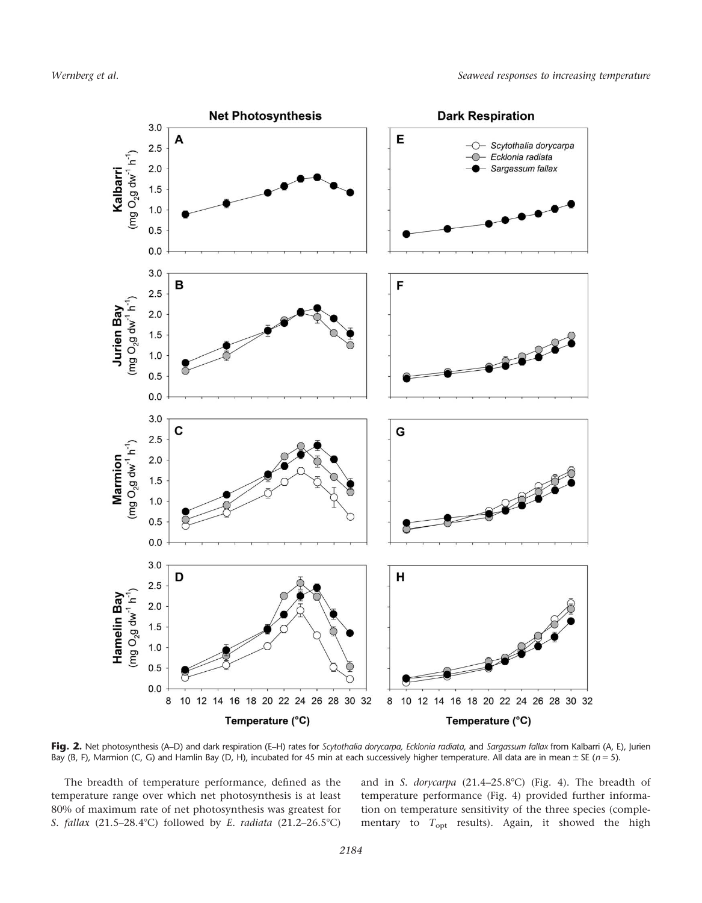

Fig. 2. Net photosynthesis (A–D) and dark respiration (E–H) rates for Scytothalia dorycarpa, Ecklonia radiata, and Sargassum fallax from Kalbarri (A, E), Jurien Bay (B, F), Marmion (C, G) and Hamlin Bay (D, H), incubated for 45 min at each successively higher temperature. All data are in mean  $\pm$  SE (n = 5).

The breadth of temperature performance, defined as the temperature range over which net photosynthesis is at least 80% of maximum rate of net photosynthesis was greatest for S. fallax  $(21.5-28.4^{\circ}\text{C})$  followed by E. radiata  $(21.2-26.5^{\circ}\text{C})$ 

and in S. dorycarpa  $(21.4-25.8^{\circ}C)$  (Fig. 4). The breadth of temperature performance (Fig. 4) provided further information on temperature sensitivity of the three species (complementary to  $T_{\text{opt}}$  results). Again, it showed the high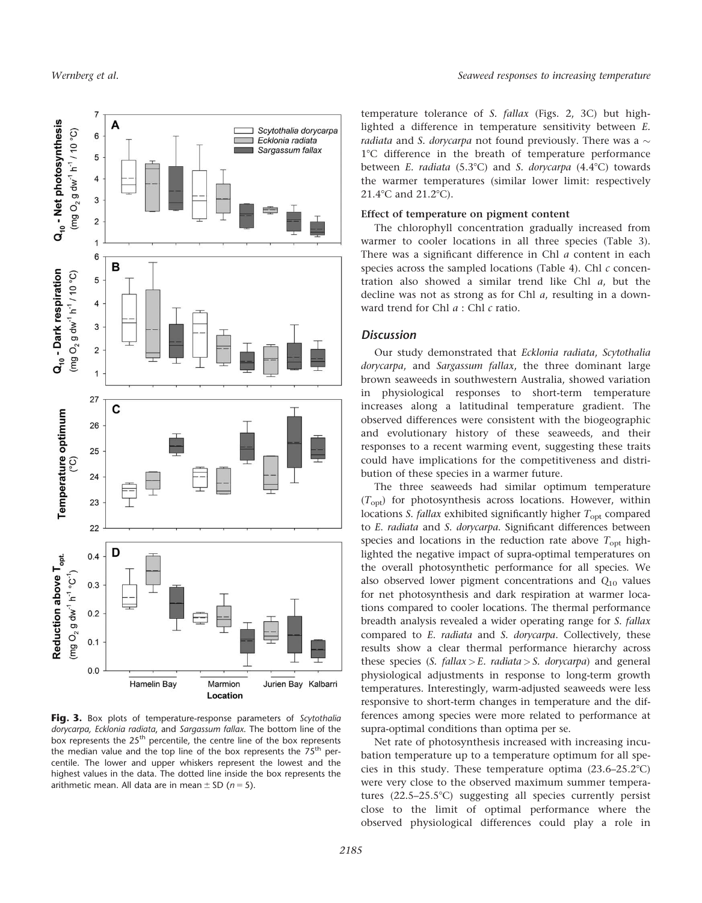

Fig. 3. Box plots of temperature-response parameters of Scytothalia dorycarpa, Ecklonia radiata, and Sargassum fallax. The bottom line of the box represents the  $25<sup>th</sup>$  percentile, the centre line of the box represents the median value and the top line of the box represents the  $75<sup>th</sup>$  percentile. The lower and upper whiskers represent the lowest and the highest values in the data. The dotted line inside the box represents the arithmetic mean. All data are in mean  $\pm$  SD (n = 5).

temperature tolerance of S. fallax (Figs. 2, 3C) but highlighted a difference in temperature sensitivity between E. *radiata* and S. *dorycarpa* not found previously. There was a  $\sim$ 1°C difference in the breath of temperature performance between E. radiata (5.3°C) and S. dorycarpa (4.4°C) towards the warmer temperatures (similar lower limit: respectively  $21.4$ °C and  $21.2$ °C).

### Effect of temperature on pigment content

The chlorophyll concentration gradually increased from warmer to cooler locations in all three species (Table 3). There was a significant difference in Chl a content in each species across the sampled locations (Table 4). Chl  $c$  concentration also showed a similar trend like Chl a, but the decline was not as strong as for Chl a, resulting in a downward trend for Chl  $a$  : Chl  $c$  ratio.

### **Discussion**

Our study demonstrated that Ecklonia radiata, Scytothalia dorycarpa, and Sargassum fallax, the three dominant large brown seaweeds in southwestern Australia, showed variation in physiological responses to short-term temperature increases along a latitudinal temperature gradient. The observed differences were consistent with the biogeographic and evolutionary history of these seaweeds, and their responses to a recent warming event, suggesting these traits could have implications for the competitiveness and distribution of these species in a warmer future.

The three seaweeds had similar optimum temperature  $(T_{\text{opt}})$  for photosynthesis across locations. However, within locations *S. fallax* exhibited significantly higher  $T_{opt}$  compared to E. radiata and S. dorycarpa. Significant differences between species and locations in the reduction rate above  $T_{\text{opt}}$  highlighted the negative impact of supra-optimal temperatures on the overall photosynthetic performance for all species. We also observed lower pigment concentrations and  $Q_{10}$  values for net photosynthesis and dark respiration at warmer locations compared to cooler locations. The thermal performance breadth analysis revealed a wider operating range for S. fallax compared to E. radiata and S. dorycarpa. Collectively, these results show a clear thermal performance hierarchy across these species (S. fallax > E. radiata > S. dorycarpa) and general physiological adjustments in response to long-term growth temperatures. Interestingly, warm-adjusted seaweeds were less responsive to short-term changes in temperature and the differences among species were more related to performance at supra-optimal conditions than optima per se.

Net rate of photosynthesis increased with increasing incubation temperature up to a temperature optimum for all species in this study. These temperature optima  $(23.6-25.2^{\circ}C)$ were very close to the observed maximum summer temperatures  $(22.5-25.5^{\circ}C)$  suggesting all species currently persist close to the limit of optimal performance where the observed physiological differences could play a role in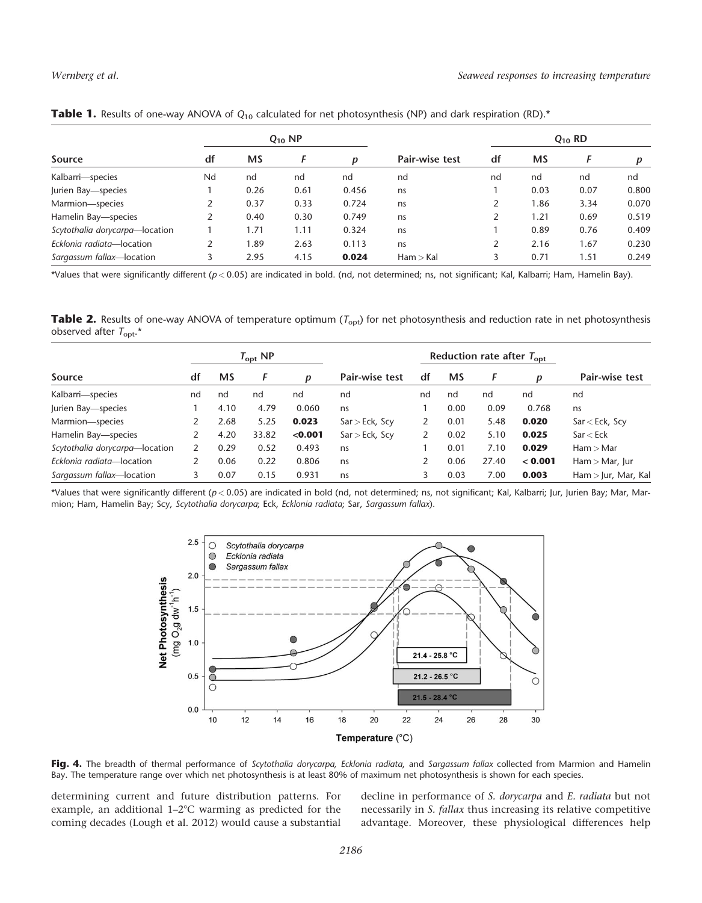| Source                         |    |           | $Q_{10}$ NP |       |                | $Q_{10}$ RD |      |      |       |  |  |
|--------------------------------|----|-----------|-------------|-------|----------------|-------------|------|------|-------|--|--|
|                                | df | <b>MS</b> |             | n     | Pair-wise test | df          | MS   |      |       |  |  |
| Kalbarri-species               | Nd | nd        | nd          | nd    | nd             | nd          | nd   | nd   | nd    |  |  |
| Jurien Bay-species             |    | 0.26      | 0.61        | 0.456 | ns             |             | 0.03 | 0.07 | 0.800 |  |  |
| Marmion-species                |    | 0.37      | 0.33        | 0.724 | ns             |             | 1.86 | 3.34 | 0.070 |  |  |
| Hamelin Bay-species            |    | 0.40      | 0.30        | 0.749 | ns             |             | 1.21 | 0.69 | 0.519 |  |  |
| Scytothalia dorycarpa-location |    | 1.71      | 1.11        | 0.324 | ns             |             | 0.89 | 0.76 | 0.409 |  |  |
| Ecklonia radiata-location      |    | .89       | 2.63        | 0.113 | ns             | 2           | 2.16 | 1.67 | 0.230 |  |  |
| Sargassum fallax-location      |    | 2.95      | 4.15        | 0.024 | Ham > Kal      |             | 0.71 | 1.51 | 0.249 |  |  |

|  |  |  |  |  |  |  |  | <b>Table 1.</b> Results of one-way ANOVA of $Q_{10}$ calculated for net photosynthesis (NP) and dark respiration (RD).* |  |  |  |  |  |
|--|--|--|--|--|--|--|--|-------------------------------------------------------------------------------------------------------------------------|--|--|--|--|--|
|--|--|--|--|--|--|--|--|-------------------------------------------------------------------------------------------------------------------------|--|--|--|--|--|

\*Values that were significantly different ( $p < 0.05$ ) are indicated in bold. (nd, not determined; ns, not significant; Kal, Kalbarri; Ham, Hamelin Bay).

Table 2. Results of one-way ANOVA of temperature optimum ( $T_{\rm opt}$ ) for net photosynthesis and reduction rate in net photosynthesis observed after  $T_{\text{opt}}$ .\*

|                                |                      |      | $T_{\rm opt}$ NP |                |                     |                 | Reduction rate after $T_{\text{opt}}$ |       |                |                     |
|--------------------------------|----------------------|------|------------------|----------------|---------------------|-----------------|---------------------------------------|-------|----------------|---------------------|
| Source                         | F<br>df<br><b>MS</b> |      | Ŋ                | Pair-wise test |                     | df<br><b>MS</b> |                                       | D     | Pair-wise test |                     |
| Kalbarri-species               | nd                   | nd   | nd               | nd             | nd                  | nd              | nd                                    | nd    | nd             | nd                  |
| Jurien Bay-species             |                      | 4.10 | 4.79             | 0.060          | ns                  |                 | 0.00                                  | 0.09  | 0.768          | ns                  |
| Marmion-species                |                      | 2.68 | 5.25             | 0.023          | $Sar > Eck$ , $Scy$ | 2               | 0.01                                  | 5.48  | 0.020          | $Sar < Eck$ , $Scy$ |
| Hamelin Bay-species            |                      | 4.20 | 33.82            | < 0.001        | $Sar > Eck$ , $Scy$ | 2               | 0.02                                  | 5.10  | 0.025          | Sar < Eck           |
| Scytothalia dorycarpa-location |                      | 0.29 | 0.52             | 0.493          | ns                  |                 | 0.01                                  | 7.10  | 0.029          | Ham > Mar           |
| Ecklonia radiata-location      |                      | 0.06 | 0.22             | 0.806          | ns                  | 2               | 0.06                                  | 27.40 | < 0.001        | $Ham > Mar$ , Jur   |
| Sargassum fallax-location      |                      | 0.07 | 0.15             | 0.931          | ns                  | 3               | 0.03                                  | 7.00  | 0.003          | Ham > Jur, Mar, Kal |

\*Values that were significantly different ( $p < 0.05$ ) are indicated in bold (nd, not determined; ns, not significant; Kal, Kalbarri; Jur, Jurien Bay; Mar, Marmion; Ham, Hamelin Bay; Scy, Scytothalia dorycarpa; Eck, Ecklonia radiata; Sar, Sargassum fallax).



Fig. 4. The breadth of thermal performance of Scytothalia dorycarpa, Ecklonia radiata, and Sargassum fallax collected from Marmion and Hamelin Bay. The temperature range over which net photosynthesis is at least 80% of maximum net photosynthesis is shown for each species.

determining current and future distribution patterns. For example, an additional  $1-2$ °C warming as predicted for the coming decades (Lough et al. 2012) would cause a substantial decline in performance of S. dorycarpa and E. radiata but not necessarily in S. fallax thus increasing its relative competitive advantage. Moreover, these physiological differences help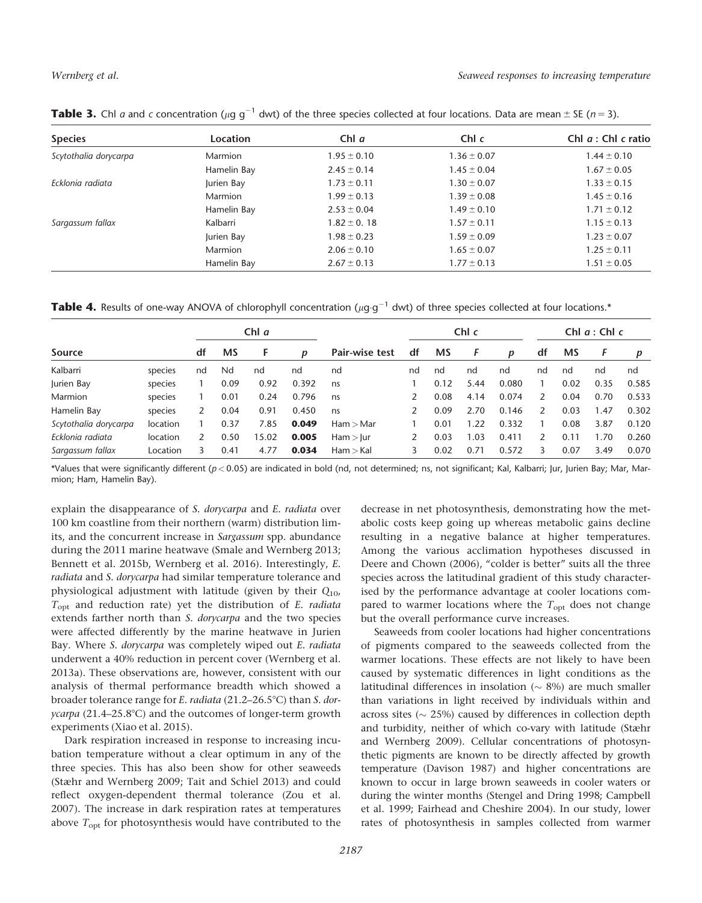| <b>Species</b>        | <b>Location</b> | Chl $a$         | Chl c           | Chl $a:$ Chl c ratio |
|-----------------------|-----------------|-----------------|-----------------|----------------------|
| Scytothalia dorycarpa | <b>Marmion</b>  | $1.95 \pm 0.10$ | $1.36 \pm 0.07$ | $1.44 \pm 0.10$      |
|                       | Hamelin Bay     | $2.45 \pm 0.14$ | $1.45 \pm 0.04$ | $1.67 \pm 0.05$      |
| Ecklonia radiata      | Jurien Bay      | $1.73 \pm 0.11$ | $1.30 \pm 0.07$ | $1.33 \pm 0.15$      |
|                       | Marmion         | $1.99 \pm 0.13$ | $1.39 \pm 0.08$ | $1.45 \pm 0.16$      |
|                       | Hamelin Bay     | $2.53 \pm 0.04$ | $1.49 \pm 0.10$ | $1.71 \pm 0.12$      |
| Sargassum fallax      | Kalbarri        | $1.82 \pm 0.18$ | $1.57 \pm 0.11$ | $1.15 \pm 0.13$      |
|                       | Jurien Bay      | $1.98 \pm 0.23$ | $1.59 \pm 0.09$ | $1.23 \pm 0.07$      |
|                       | Marmion         | $2.06 \pm 0.10$ | $1.65 \pm 0.07$ | $1.25 \pm 0.11$      |
|                       | Hamelin Bay     | $2.67 \pm 0.13$ | $1.77 \pm 0.13$ | $1.51 \pm 0.05$      |

**Table 3.** Chl *a* and *c* concentration ( $\mu$ g g<sup>-1</sup> dwt) of the three species collected at four locations. Data are mean  $\pm$  SE (*n* = 3).

Table 4. Results of one-way ANOVA of chlorophyll concentration ( $\mu$ g·g<sup>-1</sup> dwt) of three species collected at four locations.\*

|                       |          | Chl $a$ |           |       |       |                |    |           | Chl c |       | Chl $a:$ Chl c |      |      |       |
|-----------------------|----------|---------|-----------|-------|-------|----------------|----|-----------|-------|-------|----------------|------|------|-------|
| Source                |          | df      | <b>MS</b> | F     | D     | Pair-wise test | df | <b>MS</b> | F     | D     | df             | MS   |      | D     |
| Kalbarri              | species  | nd      | Nd        | nd    | nd    | nd             | nd | nd        | nd    | nd    | nd             | nd   | nd   | nd    |
| Jurien Bay            | species  |         | 0.09      | 0.92  | 0.392 | ns             |    | 0.12      | 5.44  | 0.080 |                | 0.02 | 0.35 | 0.585 |
| Marmion               | species  |         | 0.01      | 0.24  | 0.796 | ns             |    | 0.08      | 4.14  | 0.074 | $\mathcal{P}$  | 0.04 | 0.70 | 0.533 |
| Hamelin Bay           | species  | 2       | 0.04      | 0.91  | 0.450 | ns             |    | 0.09      | 2.70  | 0.146 | 2              | 0.03 | 1.47 | 0.302 |
| Scytothalia dorycarpa | location |         | 0.37      | 7.85  | 0.049 | Ham > Mar      |    | 0.01      | 1.22  | 0.332 |                | 0.08 | 3.87 | 0.120 |
| Ecklonia radiata      | location |         | 0.50      | 15.02 | 0.005 | Ham >  ur      |    | 0.03      | 03    | 0.411 |                | 0.11 | 1.70 | 0.260 |
| Sargassum fallax      | Location |         | 0.41      | 4.77  | 0.034 | Ham > Kal      |    | 0.02      | 0.71  | 0.572 |                | 0.07 | 3.49 | 0.070 |

\*Values that were significantly different ( $p < 0.05$ ) are indicated in bold (nd, not determined; ns, not significant; Kal, Kalbarri; Jur, Jurien Bay; Mar, Marmion; Ham, Hamelin Bay).

explain the disappearance of S. dorycarpa and E. radiata over 100 km coastline from their northern (warm) distribution limits, and the concurrent increase in Sargassum spp. abundance during the 2011 marine heatwave (Smale and Wernberg 2013; Bennett et al. 2015b, Wernberg et al. 2016). Interestingly, E. radiata and S. dorycarpa had similar temperature tolerance and physiological adjustment with latitude (given by their  $Q_{10}$ ,  $T_{\text{opt}}$  and reduction rate) yet the distribution of E. radiata extends farther north than S. dorycarpa and the two species were affected differently by the marine heatwave in Jurien Bay. Where S. dorycarpa was completely wiped out E. radiata underwent a 40% reduction in percent cover (Wernberg et al. 2013a). These observations are, however, consistent with our analysis of thermal performance breadth which showed a broader tolerance range for E. radiata (21.2–26.5°C) than S. dorycarpa (21.4-25.8°C) and the outcomes of longer-term growth experiments (Xiao et al. 2015).

Dark respiration increased in response to increasing incubation temperature without a clear optimum in any of the three species. This has also been show for other seaweeds (Stæhr and Wernberg 2009; Tait and Schiel 2013) and could reflect oxygen-dependent thermal tolerance (Zou et al. 2007). The increase in dark respiration rates at temperatures above  $T_{\text{opt}}$  for photosynthesis would have contributed to the decrease in net photosynthesis, demonstrating how the metabolic costs keep going up whereas metabolic gains decline resulting in a negative balance at higher temperatures. Among the various acclimation hypotheses discussed in Deere and Chown (2006), "colder is better" suits all the three species across the latitudinal gradient of this study characterised by the performance advantage at cooler locations compared to warmer locations where the  $T_{opt}$  does not change but the overall performance curve increases.

Seaweeds from cooler locations had higher concentrations of pigments compared to the seaweeds collected from the warmer locations. These effects are not likely to have been caused by systematic differences in light conditions as the latitudinal differences in insolation ( $\sim$  8%) are much smaller than variations in light received by individuals within and across sites ( $\sim$  25%) caused by differences in collection depth and turbidity, neither of which co-vary with latitude (Stæhr and Wernberg 2009). Cellular concentrations of photosynthetic pigments are known to be directly affected by growth temperature (Davison 1987) and higher concentrations are known to occur in large brown seaweeds in cooler waters or during the winter months (Stengel and Dring 1998; Campbell et al. 1999; Fairhead and Cheshire 2004). In our study, lower rates of photosynthesis in samples collected from warmer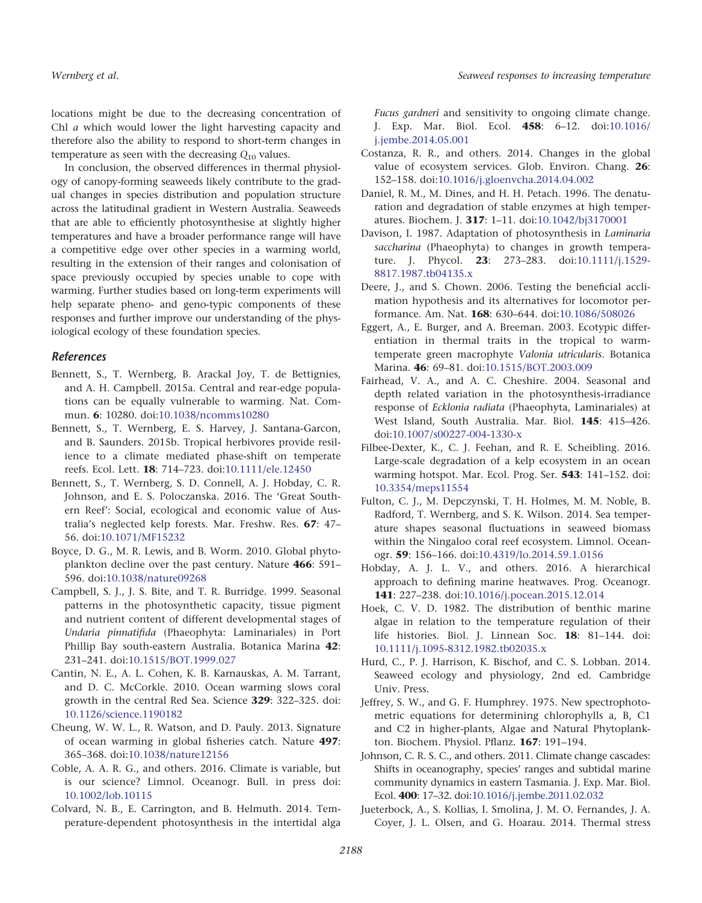locations might be due to the decreasing concentration of Chl a which would lower the light harvesting capacity and therefore also the ability to respond to short-term changes in temperature as seen with the decreasing  $Q_{10}$  values.

In conclusion, the observed differences in thermal physiology of canopy-forming seaweeds likely contribute to the gradual changes in species distribution and population structure across the latitudinal gradient in Western Australia. Seaweeds that are able to efficiently photosynthesise at slightly higher temperatures and have a broader performance range will have a competitive edge over other species in a warming world, resulting in the extension of their ranges and colonisation of space previously occupied by species unable to cope with warming. Further studies based on long-term experiments will help separate pheno- and geno-typic components of these responses and further improve our understanding of the physiological ecology of these foundation species.

#### References

- Bennett, S., T. Wernberg, B. Arackal Joy, T. de Bettignies, and A. H. Campbell. 2015a. Central and rear-edge populations can be equally vulnerable to warming. Nat. Commun. 6: 10280. doi[:10.1038/ncomms10280](http://dx.doi.org/10.1038/ncomms10280)
- Bennett, S., T. Wernberg, E. S. Harvey, J. Santana-Garcon, and B. Saunders. 2015b. Tropical herbivores provide resilience to a climate mediated phase-shift on temperate reefs. Ecol. Lett. 18: 714–723. doi[:10.1111/ele.12450](http://dx.doi.org/10.1111/ele.12450)
- Bennett, S., T. Wernberg, S. D. Connell, A. J. Hobday, C. R. Johnson, and E. S. Poloczanska. 2016. The 'Great Southern Reef': Social, ecological and economic value of Australia's neglected kelp forests. Mar. Freshw. Res. 67: 47– 56. doi[:10.1071/MF15232](http://dx.doi.org/10.1071/MF15232)
- Boyce, D. G., M. R. Lewis, and B. Worm. 2010. Global phytoplankton decline over the past century. Nature 466: 591– 596. doi[:10.1038/nature09268](http://dx.doi.org/10.1038/nature09268)
- Campbell, S. J., J. S. Bite, and T. R. Burridge. 1999. Seasonal patterns in the photosynthetic capacity, tissue pigment and nutrient content of different developmental stages of Undaria pinnatifida (Phaeophyta: Laminariales) in Port Phillip Bay south-eastern Australia. Botanica Marina 42: 231–241. doi[:10.1515/BOT.1999.027](http://dx.doi.org/10.1515/BOT.1999.027)
- Cantin, N. E., A. L. Cohen, K. B. Karnauskas, A. M. Tarrant, and D. C. McCorkle. 2010. Ocean warming slows coral growth in the central Red Sea. Science 329: 322–325. doi: [10.1126/science.1190182](http://dx.doi.org/10.1126/science.1190182)
- Cheung, W. W. L., R. Watson, and D. Pauly. 2013. Signature of ocean warming in global fisheries catch. Nature 497: 365–368. doi[:10.1038/nature12156](http://dx.doi.org/10.1038/nature12156)
- Coble, A. A. R. G., and others. 2016. Climate is variable, but is our science? Limnol. Oceanogr. Bull. in press doi: [10.1002/lob.10115](http://dx.doi.org/10.1002/lob.10115)
- Colvard, N. B., E. Carrington, and B. Helmuth. 2014. Temperature-dependent photosynthesis in the intertidal alga

Fucus gardneri and sensitivity to ongoing climate change. J. Exp. Mar. Biol. Ecol. 458: 6–12. doi[:10.1016/](http://dx.doi.org/10.1016/j.jembe.2014.05.001) [j.jembe.2014.05.001](http://dx.doi.org/10.1016/j.jembe.2014.05.001)

- Costanza, R. R., and others. 2014. Changes in the global value of ecosystem services. Glob. Environ. Chang. 26: 152–158. doi[:10.1016/j.gloenvcha.2014.04.002](http://dx.doi.org/10.1016/j.gloenvcha.2014.04.002)
- Daniel, R. M., M. Dines, and H. H. Petach. 1996. The denaturation and degradation of stable enzymes at high temperatures. Biochem. J. 317: 1–11. doi[:10.1042/bj3170001](http://dx.doi.org/10.1042/bj3170001)
- Davison, I. 1987. Adaptation of photosynthesis in Laminaria saccharina (Phaeophyta) to changes in growth temperature. J. Phycol. **23**: 273-283. doi:[10.1111/j.1529-](http://dx.doi.org/10.1111/j.1529-8817.1987.tb04135.x) [8817.1987.tb04135.x](http://dx.doi.org/10.1111/j.1529-8817.1987.tb04135.x)
- Deere, J., and S. Chown. 2006. Testing the beneficial acclimation hypothesis and its alternatives for locomotor performance. Am. Nat. 168: 630–644. doi[:10.1086/508026](http://dx.doi.org/10.1086/508026)
- Eggert, A., E. Burger, and A. Breeman. 2003. Ecotypic differentiation in thermal traits in the tropical to warmtemperate green macrophyte Valonia utricularis. Botanica Marina. 46: 69–81. doi[:10.1515/BOT.2003.009](http://dx.doi.org/10.1515/BOT.2003.009)
- Fairhead, V. A., and A. C. Cheshire. 2004. Seasonal and depth related variation in the photosynthesis-irradiance response of Ecklonia radiata (Phaeophyta, Laminariales) at West Island, South Australia. Mar. Biol. 145: 415–426. doi[:10.1007/s00227-004-1330-x](http://dx.doi.org/10.1007/s00227-004-1330-x)
- Filbee-Dexter, K., C. J. Feehan, and R. E. Scheibling. 2016. Large-scale degradation of a kelp ecosystem in an ocean warming hotspot. Mar. Ecol. Prog. Ser. 543: 141-152. doi: [10.3354/meps11554](http://dx.doi.org/10.3354/meps11554)
- Fulton, C. J., M. Depczynski, T. H. Holmes, M. M. Noble, B. Radford, T. Wernberg, and S. K. Wilson. 2014. Sea temperature shapes seasonal fluctuations in seaweed biomass within the Ningaloo coral reef ecosystem. Limnol. Oceanogr. 59: 156–166. doi[:10.4319/lo.2014.59.1.0156](http://dx.doi.org/10.4319/lo.2014.59.1.0156)
- Hobday, A. J. L. V., and others. 2016. A hierarchical approach to defining marine heatwaves. Prog. Oceanogr. 141: 227–238. doi:[10.1016/j.pocean.2015.12.014](http://dx.doi.org/10.1016/j.pocean.2015.12.014)
- Hoek, C. V. D. 1982. The distribution of benthic marine algae in relation to the temperature regulation of their life histories. Biol. J. Linnean Soc. 18: 81–144. doi: [10.1111/j.1095-8312.1982.tb02035.x](http://dx.doi.org/10.1111/j.1095-8312.1982.tb02035.x)
- Hurd, C., P. J. Harrison, K. Bischof, and C. S. Lobban. 2014. Seaweed ecology and physiology, 2nd ed. Cambridge Univ. Press.
- Jeffrey, S. W., and G. F. Humphrey. 1975. New spectrophotometric equations for determining chlorophylls a, B, C1 and C2 in higher-plants, Algae and Natural Phytoplankton. Biochem. Physiol. Pflanz. 167: 191–194.
- Johnson, C. R. S. C., and others. 2011. Climate change cascades: Shifts in oceanography, species' ranges and subtidal marine community dynamics in eastern Tasmania. J. Exp. Mar. Biol. Ecol. 400: 17–32. doi:[10.1016/j.jembe.2011.02.032](http://dx.doi.org/10.1016/j.jembe.2011.02.032)
- Jueterbock, A., S. Kollias, I. Smolina, J. M. O. Fernandes, J. A. Coyer, J. L. Olsen, and G. Hoarau. 2014. Thermal stress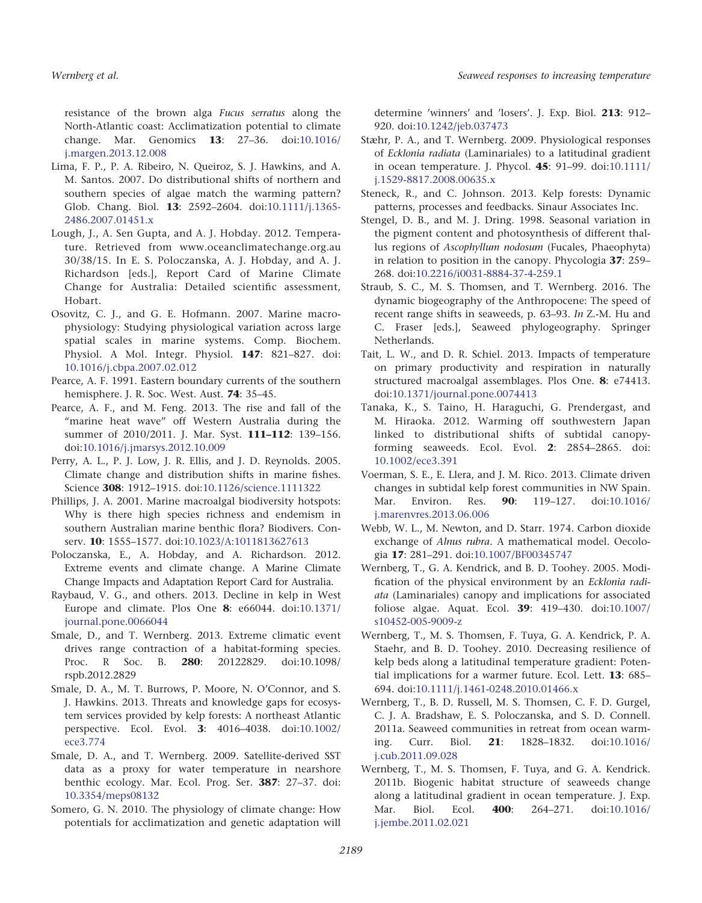resistance of the brown alga Fucus serratus along the North-Atlantic coast: Acclimatization potential to climate change. Mar. Genomics 13: 27–36. doi:[10.1016/](http://dx.doi.org/10.1016/j.margen.2013.12.008) [j.margen.2013.12.008](http://dx.doi.org/10.1016/j.margen.2013.12.008)

- Lima, F. P., P. A. Ribeiro, N. Queiroz, S. J. Hawkins, and A. M. Santos. 2007. Do distributional shifts of northern and southern species of algae match the warming pattern? Glob. Chang. Biol. 13: 2592–2604. doi:[10.1111/j.1365-](http://dx.doi.org/10.1111/j.1365-2486.2007.01451.x) [2486.2007.01451.x](http://dx.doi.org/10.1111/j.1365-2486.2007.01451.x)
- Lough, J., A. Sen Gupta, and A. J. Hobday. 2012. Temperature. Retrieved from [www.oceanclimatechange.org.au](http://www.oceanclimatechange.org.au) 30/38/15. In E. S. Poloczanska, A. J. Hobday, and A. J. Richardson [eds.], Report Card of Marine Climate Change for Australia: Detailed scientific assessment, Hobart.
- Osovitz, C. J., and G. E. Hofmann. 2007. Marine macrophysiology: Studying physiological variation across large spatial scales in marine systems. Comp. Biochem. Physiol. A Mol. Integr. Physiol. 147: 821–827. doi: [10.1016/j.cbpa.2007.02.012](http://dx.doi.org/10.1016/j.cbpa.2007.02.012)
- Pearce, A. F. 1991. Eastern boundary currents of the southern hemisphere. J. R. Soc. West. Aust. 74: 35–45.
- Pearce, A. F., and M. Feng. 2013. The rise and fall of the "marine heat wave" off Western Australia during the summer of 2010/2011. J. Mar. Syst. **111-112**: 139-156. doi[:10.1016/j.jmarsys.2012.10.009](http://dx.doi.org/10.1016/j.jmarsys.2012.10.009)
- Perry, A. L., P. J. Low, J. R. Ellis, and J. D. Reynolds. 2005. Climate change and distribution shifts in marine fishes. Science 308: 1912–1915. doi[:10.1126/science.1111322](http://dx.doi.org/10.1126/science.1111322)
- Phillips, J. A. 2001. Marine macroalgal biodiversity hotspots: Why is there high species richness and endemism in southern Australian marine benthic flora? Biodivers. Con-serv. 10: 1555-1577. doi:[10.1023/A:1011813627613](http://dx.doi.org/10.1023/A:1011813627613)
- Poloczanska, E., A. Hobday, and A. Richardson. 2012. Extreme events and climate change. A Marine Climate Change Impacts and Adaptation Report Card for Australia.
- Raybaud, V. G., and others. 2013. Decline in kelp in West Europe and climate. Plos One 8: e66044. doi:[10.1371/](http://dx.doi.org/10.1371/journal.pone.0066044) [journal.pone.0066044](http://dx.doi.org/10.1371/journal.pone.0066044)
- Smale, D., and T. Wernberg. 2013. Extreme climatic event drives range contraction of a habitat-forming species. Proc. R Soc. B. **280**: 20122829. doi:10.1098/ rspb.2012.2829
- Smale, D. A., M. T. Burrows, P. Moore, N. O'Connor, and S. J. Hawkins. 2013. Threats and knowledge gaps for ecosystem services provided by kelp forests: A northeast Atlantic perspective. Ecol. Evol. 3: 4016–4038. doi:[10.1002/](http://dx.doi.org/10.1002/ece3.774) [ece3.774](http://dx.doi.org/10.1002/ece3.774)
- Smale, D. A., and T. Wernberg. 2009. Satellite-derived SST data as a proxy for water temperature in nearshore benthic ecology. Mar. Ecol. Prog. Ser. 387: 27–37. doi: [10.3354/meps08132](http://dx.doi.org/10.3354/meps08132)
- Somero, G. N. 2010. The physiology of climate change: How potentials for acclimatization and genetic adaptation will

determine 'winners' and 'losers'. J. Exp. Biol. 213: 912– 920. doi[:10.1242/jeb.037473](http://dx.doi.org/10.1242/jeb.037473)

- Stæhr, P. A., and T. Wernberg. 2009. Physiological responses of Ecklonia radiata (Laminariales) to a latitudinal gradient in ocean temperature. J. Phycol. 45: 91–99. doi:[10.1111/](http://dx.doi.org/10.1111/j.1529-8817.2008.00635.x) [j.1529-8817.2008.00635.x](http://dx.doi.org/10.1111/j.1529-8817.2008.00635.x)
- Steneck, R., and C. Johnson. 2013. Kelp forests: Dynamic patterns, processes and feedbacks. Sinaur Associates Inc.
- Stengel, D. B., and M. J. Dring. 1998. Seasonal variation in the pigment content and photosynthesis of different thallus regions of Ascophyllum nodosum (Fucales, Phaeophyta) in relation to position in the canopy. Phycologia 37: 259– 268. doi[:10.2216/i0031-8884-37-4-259.1](http://dx.doi.org/10.2216/i0031-8884-37-4-259.1)
- Straub, S. C., M. S. Thomsen, and T. Wernberg. 2016. The dynamic biogeography of the Anthropocene: The speed of recent range shifts in seaweeds, p. 63–93. In Z.-M. Hu and C. Fraser [eds.], Seaweed phylogeography. Springer Netherlands.
- Tait, L. W., and D. R. Schiel. 2013. Impacts of temperature on primary productivity and respiration in naturally structured macroalgal assemblages. Plos One. 8: e74413. doi[:10.1371/journal.pone.0074413](http://dx.doi.org/10.1371/journal.pone.0074413)
- Tanaka, K., S. Taino, H. Haraguchi, G. Prendergast, and M. Hiraoka. 2012. Warming off southwestern Japan linked to distributional shifts of subtidal canopyforming seaweeds. Ecol. Evol. 2: 2854–2865. doi: [10.1002/ece3.391](http://dx.doi.org/10.1002/ece3.391)
- Voerman, S. E., E. Llera, and J. M. Rico. 2013. Climate driven changes in subtidal kelp forest communities in NW Spain. Mar. Environ. Res. **90**: 119-127. doi[:10.1016/](http://dx.doi.org/10.1016/j.marenvres.2013.06.006) [j.marenvres.2013.06.006](http://dx.doi.org/10.1016/j.marenvres.2013.06.006)
- Webb, W. L., M. Newton, and D. Starr. 1974. Carbon dioxide exchange of Alnus rubra. A mathematical model. Oecologia 17: 281–291. doi[:10.1007/BF00345747](http://dx.doi.org/10.1007/BF00345747)
- Wernberg, T., G. A. Kendrick, and B. D. Toohey. 2005. Modification of the physical environment by an Ecklonia radiata (Laminariales) canopy and implications for associated foliose algae. Aquat. Ecol. 39: 419–430. doi[:10.1007/](http://dx.doi.org/10.1007/s10452-005-9009-z) [s10452-005-9009-z](http://dx.doi.org/10.1007/s10452-005-9009-z)
- Wernberg, T., M. S. Thomsen, F. Tuya, G. A. Kendrick, P. A. Staehr, and B. D. Toohey. 2010. Decreasing resilience of kelp beds along a latitudinal temperature gradient: Potential implications for a warmer future. Ecol. Lett. 13: 685– 694. doi[:10.1111/j.1461-0248.2010.01466.x](http://dx.doi.org/10.1111/j.1461-0248.2010.01466.x)
- Wernberg, T., B. D. Russell, M. S. Thomsen, C. F. D. Gurgel, C. J. A. Bradshaw, E. S. Poloczanska, and S. D. Connell. 2011a. Seaweed communities in retreat from ocean warming. Curr. Biol. 21: 1828–1832. doi[:10.1016/](http://dx.doi.org/10.1016/j.cub.2011.09.028) [j.cub.2011.09.028](http://dx.doi.org/10.1016/j.cub.2011.09.028)
- Wernberg, T., M. S. Thomsen, F. Tuya, and G. A. Kendrick. 2011b. Biogenic habitat structure of seaweeds change along a latitudinal gradient in ocean temperature. J. Exp. Mar. Biol. Ecol. **400**: 264-271. doi:[10.1016/](http://dx.doi.org/10.1016/j.jembe.2011.02.021) [j.jembe.2011.02.021](http://dx.doi.org/10.1016/j.jembe.2011.02.021)